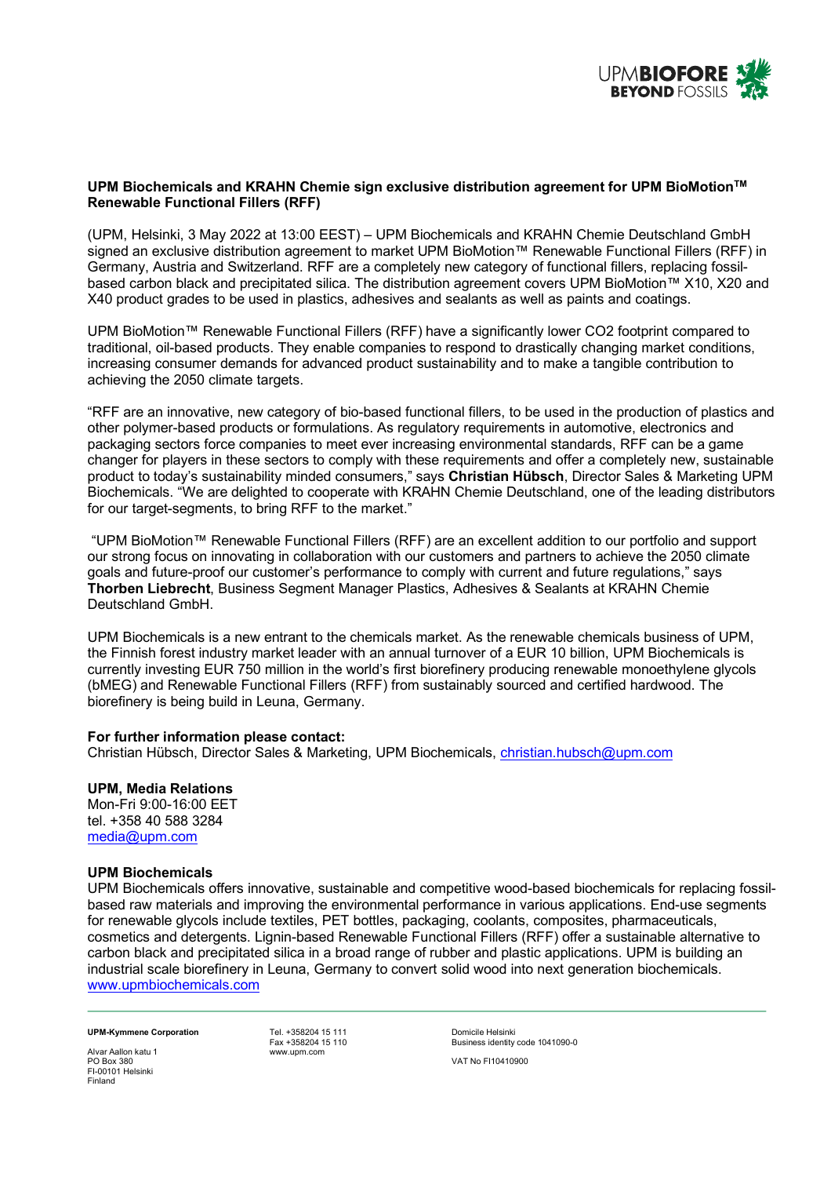

## **UPM Biochemicals and KRAHN Chemie sign exclusive distribution agreement for UPM BioMotionTM Renewable Functional Fillers (RFF)**

(UPM, Helsinki, 3 May 2022 at 13:00 EEST) – UPM Biochemicals and KRAHN Chemie Deutschland GmbH signed an exclusive distribution agreement to market UPM BioMotion™ Renewable Functional Fillers (RFF) in Germany, Austria and Switzerland. RFF are a completely new category of functional fillers, replacing fossilbased carbon black and precipitated silica. The distribution agreement covers UPM BioMotion™ X10, X20 and X40 product grades to be used in plastics, adhesives and sealants as well as paints and coatings.

UPM BioMotion™ Renewable Functional Fillers (RFF) have a significantly lower CO2 footprint compared to traditional, oil-based products. They enable companies to respond to drastically changing market conditions, increasing consumer demands for advanced product sustainability and to make a tangible contribution to achieving the 2050 climate targets.

"RFF are an innovative, new category of bio-based functional fillers, to be used in the production of plastics and other polymer-based products or formulations. As regulatory requirements in automotive, electronics and packaging sectors force companies to meet ever increasing environmental standards, RFF can be a game changer for players in these sectors to comply with these requirements and offer a completely new, sustainable product to today's sustainability minded consumers," says **Christian Hübsch**, Director Sales & Marketing UPM Biochemicals. "We are delighted to cooperate with KRAHN Chemie Deutschland, one of the leading distributors for our target-segments, to bring RFF to the market."

"UPM BioMotion™ Renewable Functional Fillers (RFF) are an excellent addition to our portfolio and support our strong focus on innovating in collaboration with our customers and partners to achieve the 2050 climate goals and future-proof our customer's performance to comply with current and future regulations," says **Thorben Liebrecht**, Business Segment Manager Plastics, Adhesives & Sealants at KRAHN Chemie Deutschland GmbH.

UPM Biochemicals is a new entrant to the chemicals market. As the renewable chemicals business of UPM, the Finnish forest industry market leader with an annual turnover of a EUR 10 billion, UPM Biochemicals is currently investing EUR 750 million in the world's first biorefinery producing renewable monoethylene glycols (bMEG) and Renewable Functional Fillers (RFF) from sustainably sourced and certified hardwood. The biorefinery is being build in Leuna, Germany.

#### **For further information please contact:**

Christian Hübsch, Director Sales & Marketing, UPM Biochemicals, christian.hubsch@upm.com

### **UPM, Media Relations**

Mon-Fri 9:00-16:00 EET tel. +358 40 588 3284 media@upm.com

#### **UPM Biochemicals**

UPM Biochemicals offers innovative, sustainable and competitive wood-based biochemicals for replacing fossilbased raw materials and improving the environmental performance in various applications. End-use segments for renewable glycols include textiles, PET bottles, packaging, coolants, composites, pharmaceuticals, cosmetics and detergents. Lignin-based Renewable Functional Fillers (RFF) offer a sustainable alternative to carbon black and precipitated silica in a broad range of rubber and plastic applications. UPM is building an industrial scale biorefinery in Leuna, Germany to convert solid wood into next generation biochemicals. www.upmbiochemicals.com

# **UPM-Kymmene Corporation**<br>
Fev +358204 15 110<br>
Fav +358204 15 110<br>
Rusiness identity

Fax +358204 15 110 Business identity code 1041090-0

Alvar Aallon katu 1 PO Box 380 VAT No FI10410900 FI-00101 Helsinki Finland